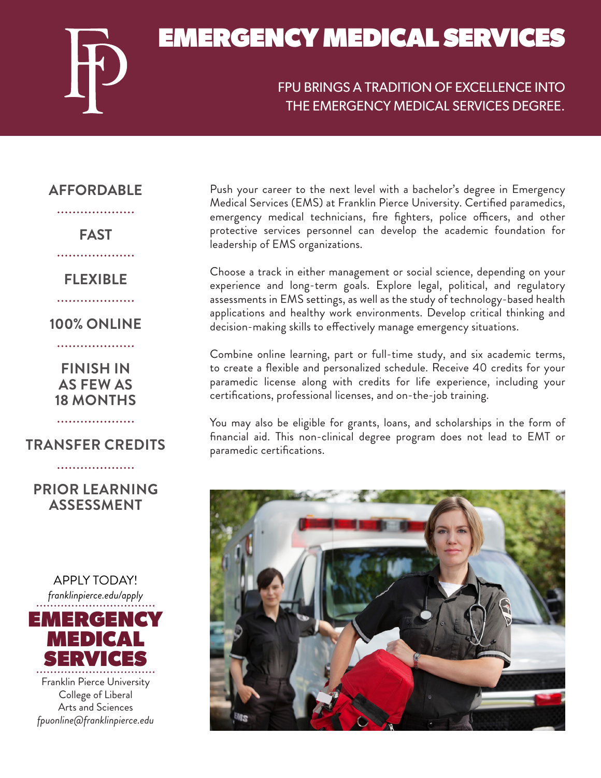

## FPU BRINGS A TRADITION OF EXCELLENCE INTO THE EMERGENCY MEDICAL SERVICES DEGREE.

### **AFFORDABLE** . . . . . . . . . . . . . . . . . . . .

**FAST**

. . . . . . . . . . . . . . . . . . **FLEXIBLE**

....................

**100% ONLINE**

. . . . . . . . . . . . . . . . . . . .

**FINISH IN AS FEW AS 18 MONTHS**

**TRANSFER CREDITS**

. . . . . . . . . . . . . . . . . . . .

...................

# **PRIOR LEARNING ASSESSMENT**



College of Liberal Arts and Sciences *fpuonline@franklinpierce.edu* Push your career to the next level with a bachelor's degree in Emergency Medical Services (EMS) at Franklin Pierce University. Certified paramedics, emergency medical technicians, fire fighters, police officers, and other protective services personnel can develop the academic foundation for leadership of EMS organizations.

Choose a track in either management or social science, depending on your experience and long-term goals. Explore legal, political, and regulatory assessments in EMS settings, as well as the study of technology-based health applications and healthy work environments. Develop critical thinking and decision-making skills to effectively manage emergency situations.

Combine online learning, part or full-time study, and six academic terms, to create a flexible and personalized schedule. Receive 40 credits for your paramedic license along with credits for life experience, including your certifications, professional licenses, and on-the-job training.

You may also be eligible for grants, loans, and scholarships in the form of financial aid. This non-clinical degree program does not lead to EMT or paramedic certifications.